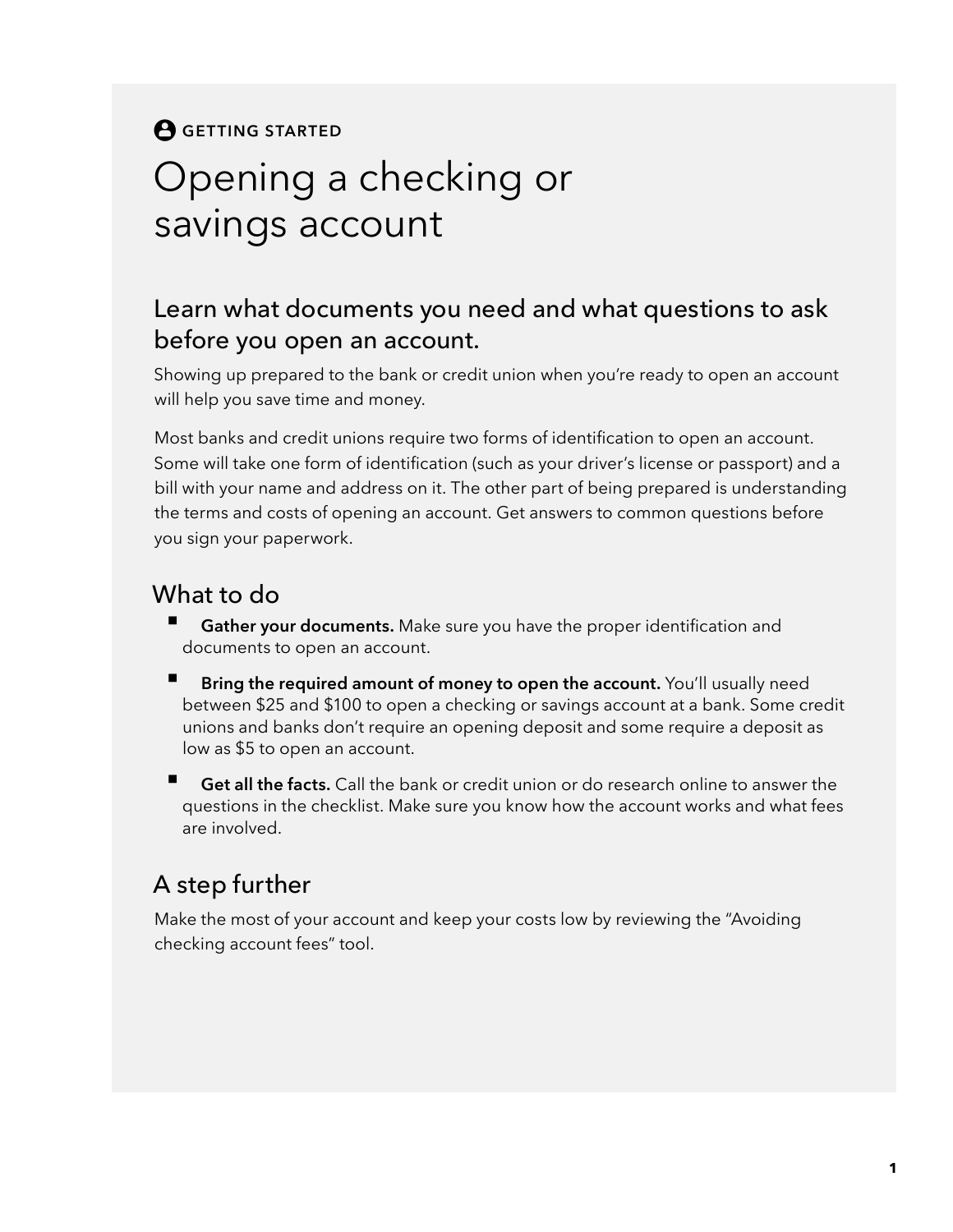## **A** GETTING STARTED Opening a checking or savings account

#### Learn what documents you need and what questions to ask before you open an account.

Showing up prepared to the bank or credit union when you're ready to open an account will help you save time and money.

Most banks and credit unions require two forms of identification to open an account. Some will take one form of identification (such as your driver's license or passport) and a bill with your name and address on it. The other part of being prepared is understanding the terms and costs of opening an account. Get answers to common questions before you sign your paperwork.

#### What to do

- **Gather your documents.** Make sure you have the proper identification and documents to open an account.
- **Bring the required amount of money to open the account.** You'll usually need between \$25 and \$100 to open a checking or savings account at a bank. Some credit unions and banks don't require an opening deposit and some require a deposit as low as \$5 to open an account.
- **Get all the facts.** Call the bank or credit union or do research online to answer the questions in the checklist. Make sure you know how the account works and what fees are involved.

### A step further

Make the most of your account and keep your costs low by reviewing the "Avoiding checking account fees" tool.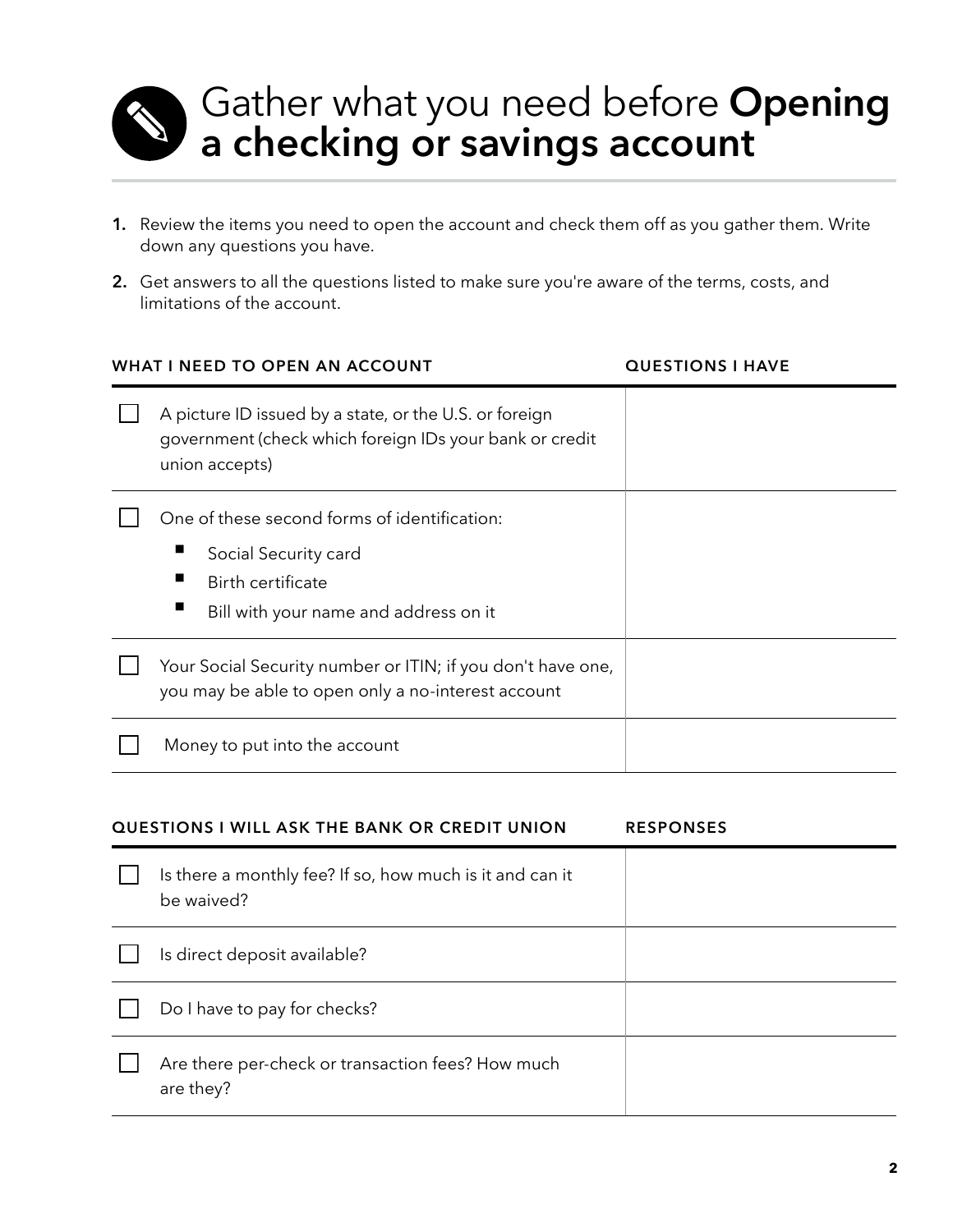

# Gather what you need before **Opening a checking or savings account**

- **1.** Review the items you need to open the account and check them off as you gather them. Write down any questions you have.
- **2.** Get answers to all the questions listed to make sure you're aware of the terms, costs, and limitations of the account.

| WHAT I NEED TO OPEN AN ACCOUNT                                                                                                      | <b>QUESTIONS I HAVE</b> |
|-------------------------------------------------------------------------------------------------------------------------------------|-------------------------|
| A picture ID issued by a state, or the U.S. or foreign<br>government (check which foreign IDs your bank or credit<br>union accepts) |                         |
| One of these second forms of identification:                                                                                        |                         |
| Social Security card<br>Birth certificate                                                                                           |                         |
| Bill with your name and address on it                                                                                               |                         |
| Your Social Security number or ITIN; if you don't have one,<br>you may be able to open only a no-interest account                   |                         |
| Money to put into the account                                                                                                       |                         |

| <b>QUESTIONS I WILL ASK THE BANK OR CREDIT UNION</b>                   | <b>RESPONSES</b> |
|------------------------------------------------------------------------|------------------|
| Is there a monthly fee? If so, how much is it and can it<br>be waived? |                  |
| Is direct deposit available?                                           |                  |
| Do I have to pay for checks?                                           |                  |
| Are there per-check or transaction fees? How much<br>are they?         |                  |